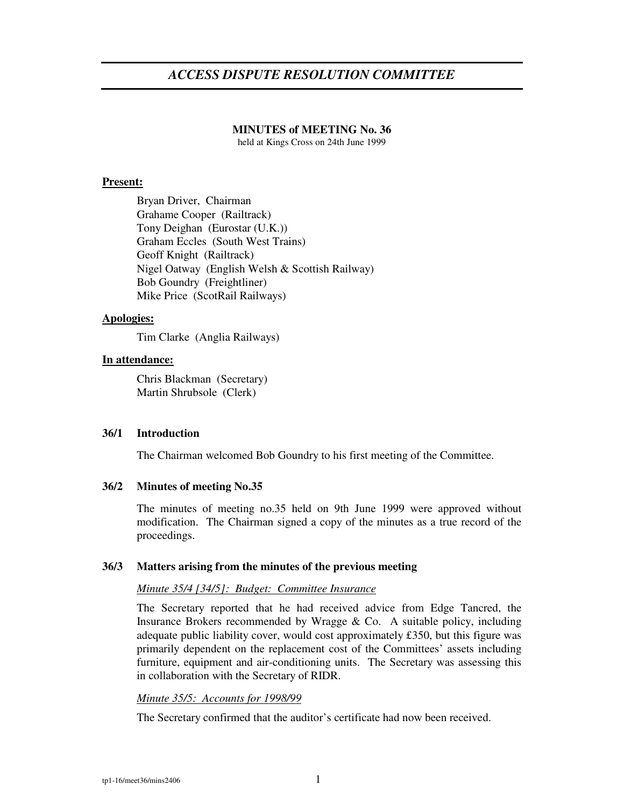# *ACCESS DISPUTE RESOLUTION COMMITTEE*

# **MINUTES of MEETING No. 36**

held at Kings Cross on 24th June 1999

## **Present:**

Bryan Driver, Chairman Grahame Cooper (Railtrack) Tony Deighan (Eurostar (U.K.)) Graham Eccles (South West Trains) Geoff Knight (Railtrack) Nigel Oatway (English Welsh & Scottish Railway) Bob Goundry (Freightliner) Mike Price (ScotRail Railways)

# **Apologies:**

Tim Clarke (Anglia Railways)

### **In attendance:**

Chris Blackman (Secretary) Martin Shrubsole (Clerk)

# **36/1 Introduction**

The Chairman welcomed Bob Goundry to his first meeting of the Committee.

# **36/2 Minutes of meeting No.35**

The minutes of meeting no.35 held on 9th June 1999 were approved without modification. The Chairman signed a copy of the minutes as a true record of the proceedings.

#### **36/3 Matters arising from the minutes of the previous meeting**

#### *Minute 35/4 [34/5]: Budget: Committee Insurance*

The Secretary reported that he had received advice from Edge Tancred, the Insurance Brokers recommended by Wragge  $& Co. A suitable policy, including$ adequate public liability cover, would cost approximately £350, but this figure was primarily dependent on the replacement cost of the Committees' assets including furniture, equipment and air-conditioning units. The Secretary was assessing this in collaboration with the Secretary of RIDR.

#### *Minute 35/5: Accounts for 1998/99*

The Secretary confirmed that the auditor's certificate had now been received.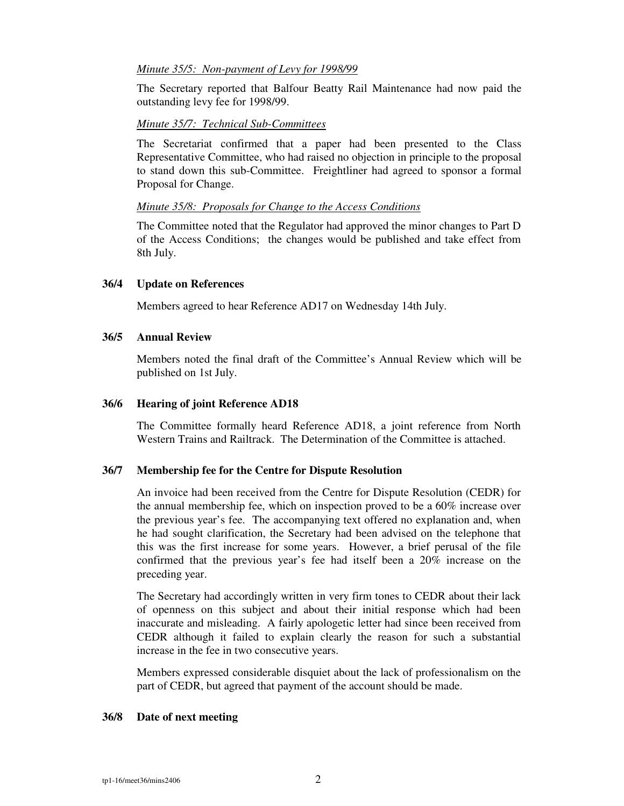# *Minute 35/5: Non-payment of Levy for 1998/99*

The Secretary reported that Balfour Beatty Rail Maintenance had now paid the outstanding levy fee for 1998/99.

### *Minute 35/7: Technical Sub-Committees*

The Secretariat confirmed that a paper had been presented to the Class Representative Committee, who had raised no objection in principle to the proposal to stand down this sub-Committee. Freightliner had agreed to sponsor a formal Proposal for Change.

### *Minute 35/8: Proposals for Change to the Access Conditions*

The Committee noted that the Regulator had approved the minor changes to Part D of the Access Conditions; the changes would be published and take effect from 8th July.

### **36/4 Update on References**

Members agreed to hear Reference AD17 on Wednesday 14th July.

### **36/5 Annual Review**

Members noted the final draft of the Committee's Annual Review which will be published on 1st July.

## **36/6 Hearing of joint Reference AD18**

The Committee formally heard Reference AD18, a joint reference from North Western Trains and Railtrack. The Determination of the Committee is attached.

# **36/7 Membership fee for the Centre for Dispute Resolution**

An invoice had been received from the Centre for Dispute Resolution (CEDR) for the annual membership fee, which on inspection proved to be a 60% increase over the previous year's fee. The accompanying text offered no explanation and, when he had sought clarification, the Secretary had been advised on the telephone that this was the first increase for some years. However, a brief perusal of the file confirmed that the previous year's fee had itself been a 20% increase on the preceding year.

The Secretary had accordingly written in very firm tones to CEDR about their lack of openness on this subject and about their initial response which had been inaccurate and misleading. A fairly apologetic letter had since been received from CEDR although it failed to explain clearly the reason for such a substantial increase in the fee in two consecutive years.

Members expressed considerable disquiet about the lack of professionalism on the part of CEDR, but agreed that payment of the account should be made.

# **36/8 Date of next meeting**